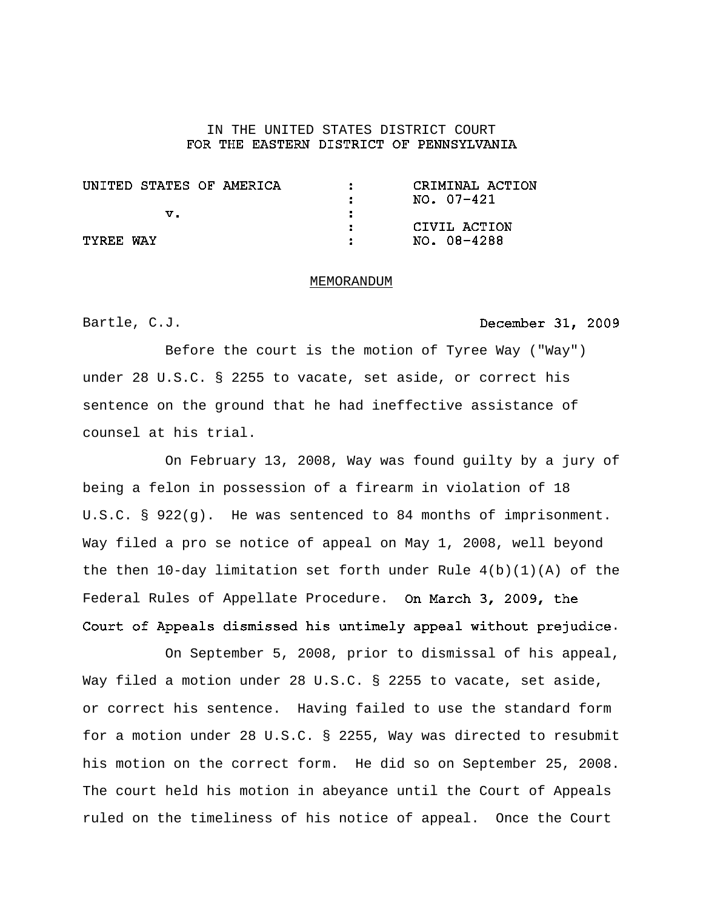## IN THE UNITED STATES DISTRICT COURT FOR THE EASTERN DISTRICT OF PENNSYLVANIA

| UNITED STATES OF AMERICA | CRIMINAL ACTION |
|--------------------------|-----------------|
|                          | NO. 07-421      |
| v.                       |                 |
|                          | CIVIL ACTION    |
| TYRFF WAY                | NO. 08-4288     |

#### MEMORANDUM

Bartle, C.J.

## December 31, 2009

Before the court is the motion of Tyree Way ("Way") under 28 U.S.C. § 2255 to vacate, set aside, or correct his sentence on the ground that he had ineffective assistance of counsel at his trial.

On February 13, 2008, Way was found guilty by a jury of being a felon in possession of a firearm in violation of 18 U.S.C. § 922(g). He was sentenced to 84 months of imprisonment. Way filed a pro se notice of appeal on May 1, 2008, well beyond the then  $10$ -day limitation set forth under Rule  $4(b)(1)(A)$  of the Federal Rules of Appellate Procedure. On March 3, 2009, the Court of Appeals dismissed his untimely appeal without prejudice.

On September 5, 2008, prior to dismissal of his appeal, Way filed a motion under 28 U.S.C. § 2255 to vacate, set aside, or correct his sentence. Having failed to use the standard form for a motion under 28 U.S.C. § 2255, Way was directed to resubmit his motion on the correct form. He did so on September 25, 2008. The court held his motion in abeyance until the Court of Appeals ruled on the timeliness of his notice of appeal. Once the Court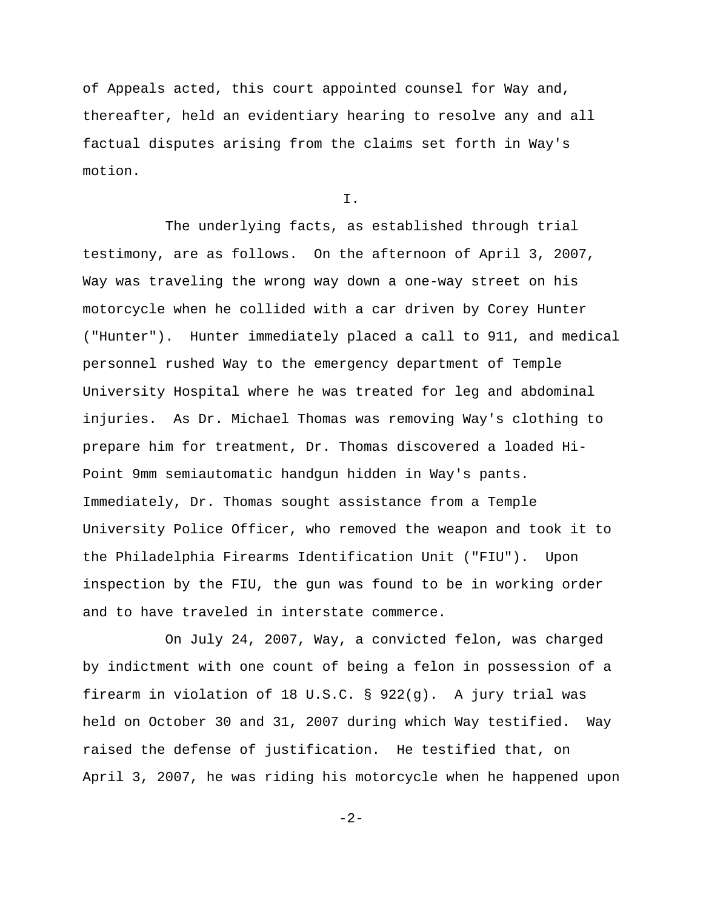of Appeals acted, this court appointed counsel for Way and, thereafter, held an evidentiary hearing to resolve any and all factual disputes arising from the claims set forth in Way's motion.

I.

The underlying facts, as established through trial testimony, are as follows. On the afternoon of April 3, 2007, Way was traveling the wrong way down a one-way street on his motorcycle when he collided with a car driven by Corey Hunter ("Hunter"). Hunter immediately placed a call to 911, and medical personnel rushed Way to the emergency department of Temple University Hospital where he was treated for leg and abdominal injuries. As Dr. Michael Thomas was removing Way's clothing to prepare him for treatment, Dr. Thomas discovered a loaded Hi-Point 9mm semiautomatic handgun hidden in Way's pants. Immediately, Dr. Thomas sought assistance from a Temple University Police Officer, who removed the weapon and took it to the Philadelphia Firearms Identification Unit ("FIU"). Upon inspection by the FIU, the gun was found to be in working order and to have traveled in interstate commerce.

On July 24, 2007, Way, a convicted felon, was charged by indictment with one count of being a felon in possession of a firearm in violation of 18 U.S.C. § 922(g). A jury trial was held on October 30 and 31, 2007 during which Way testified. Way raised the defense of justification. He testified that, on April 3, 2007, he was riding his motorcycle when he happened upon

-2-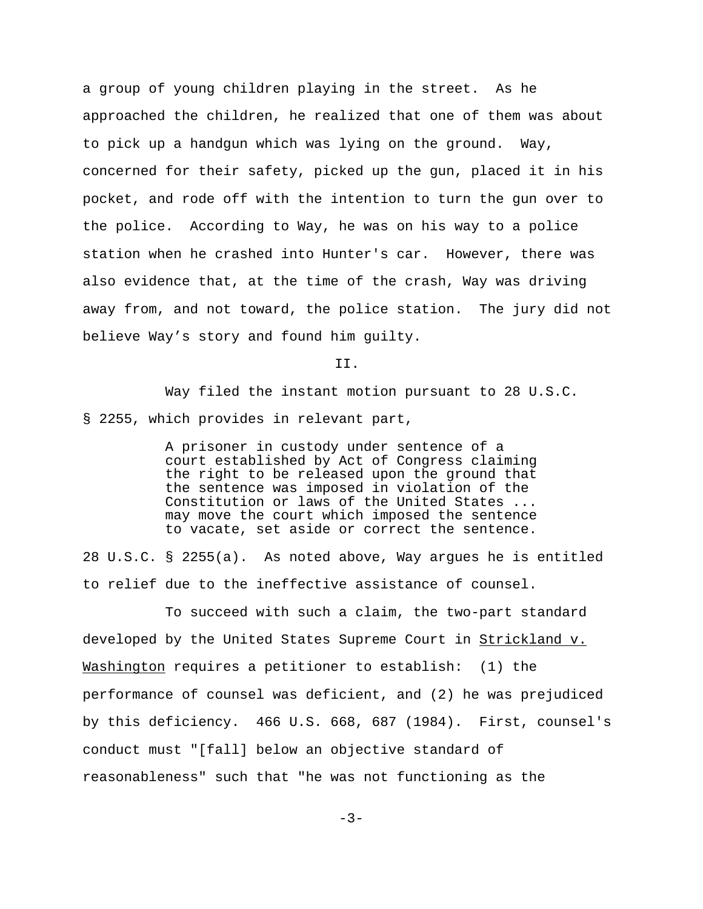a group of young children playing in the street. As he approached the children, he realized that one of them was about to pick up a handgun which was lying on the ground. Way, concerned for their safety, picked up the gun, placed it in his pocket, and rode off with the intention to turn the gun over to the police. According to Way, he was on his way to a police station when he crashed into Hunter's car. However, there was also evidence that, at the time of the crash, Way was driving away from, and not toward, the police station. The jury did not believe Way's story and found him guilty.

II.

Way filed the instant motion pursuant to 28 U.S.C. § 2255, which provides in relevant part,

> A prisoner in custody under sentence of a court established by Act of Congress claiming the right to be released upon the ground that the sentence was imposed in violation of the Constitution or laws of the United States ... may move the court which imposed the sentence to vacate, set aside or correct the sentence.

28 U.S.C. § 2255(a). As noted above, Way argues he is entitled to relief due to the ineffective assistance of counsel.

To succeed with such a claim, the two-part standard developed by the United States Supreme Court in Strickland v. Washington requires a petitioner to establish: (1) the performance of counsel was deficient, and (2) he was prejudiced by this deficiency. 466 U.S. 668, 687 (1984). First, counsel's conduct must "[fall] below an objective standard of reasonableness" such that "he was not functioning as the

 $-3-$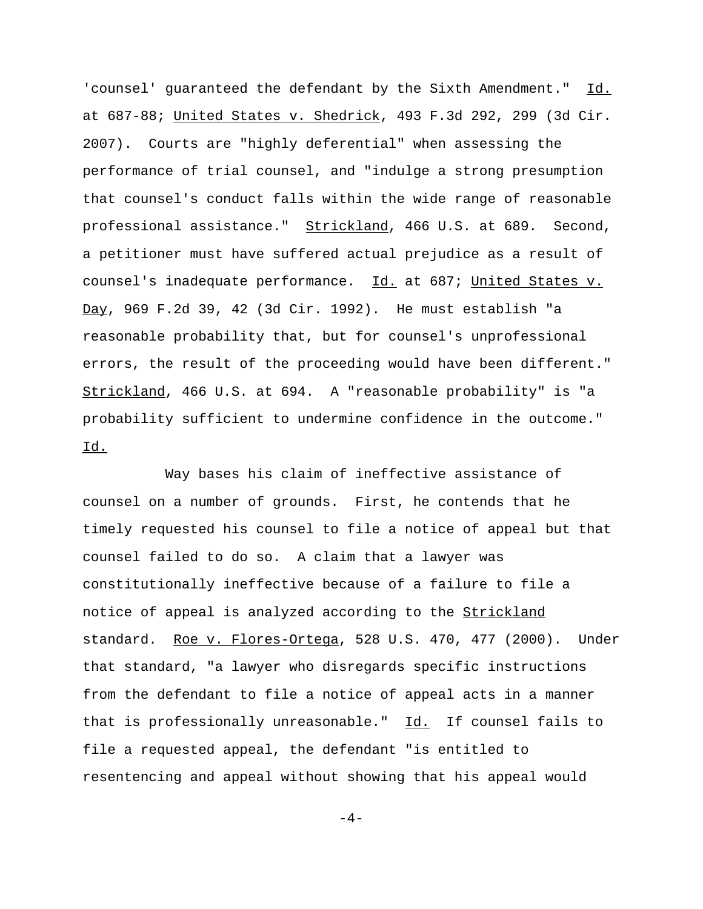'counsel' guaranteed the defendant by the Sixth Amendment." Id. at 687-88; United States v. Shedrick, 493 F.3d 292, 299 (3d Cir. 2007). Courts are "highly deferential" when assessing the performance of trial counsel, and "indulge a strong presumption that counsel's conduct falls within the wide range of reasonable professional assistance." Strickland, 466 U.S. at 689. Second, a petitioner must have suffered actual prejudice as a result of counsel's inadequate performance. Id. at 687; United States v. Day, 969 F.2d 39, 42 (3d Cir. 1992). He must establish "a reasonable probability that, but for counsel's unprofessional errors, the result of the proceeding would have been different." Strickland, 466 U.S. at 694. A "reasonable probability" is "a probability sufficient to undermine confidence in the outcome." Id.

Way bases his claim of ineffective assistance of counsel on a number of grounds. First, he contends that he timely requested his counsel to file a notice of appeal but that counsel failed to do so. A claim that a lawyer was constitutionally ineffective because of a failure to file a notice of appeal is analyzed according to the Strickland standard. Roe v. Flores-Ortega, 528 U.S. 470, 477 (2000). Under that standard, "a lawyer who disregards specific instructions from the defendant to file a notice of appeal acts in a manner that is professionally unreasonable."  $Id.$  If counsel fails to file a requested appeal, the defendant "is entitled to resentencing and appeal without showing that his appeal would

 $-4-$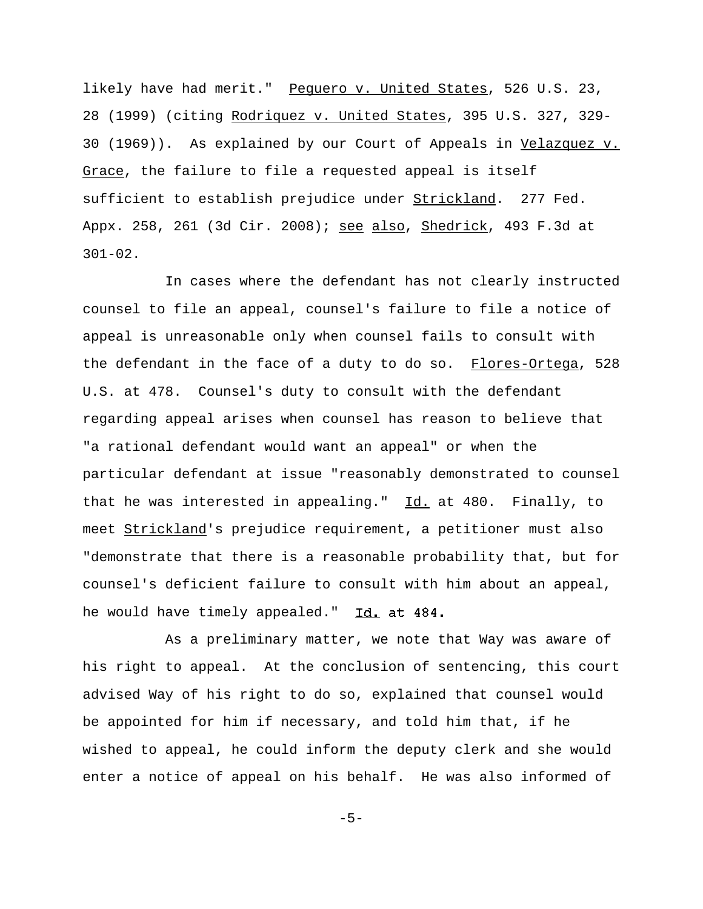likely have had merit." Pequero v. United States, 526 U.S. 23, 28 (1999) (citing Rodriquez v. United States, 395 U.S. 327, 329- 30 (1969)). As explained by our Court of Appeals in Velazquez v. Grace, the failure to file a requested appeal is itself sufficient to establish prejudice under Strickland. 277 Fed. Appx. 258, 261 (3d Cir. 2008); see also, Shedrick, 493 F.3d at 301-02.

In cases where the defendant has not clearly instructed counsel to file an appeal, counsel's failure to file a notice of appeal is unreasonable only when counsel fails to consult with the defendant in the face of a duty to do so. Flores-Ortega, 528 U.S. at 478. Counsel's duty to consult with the defendant regarding appeal arises when counsel has reason to believe that "a rational defendant would want an appeal" or when the particular defendant at issue "reasonably demonstrated to counsel that he was interested in appealing."  $Id.$  at 480. Finally, to meet Strickland's prejudice requirement, a petitioner must also "demonstrate that there is a reasonable probability that, but for counsel's deficient failure to consult with him about an appeal, he would have timely appealed." Id. at 484.

As a preliminary matter, we note that Way was aware of his right to appeal. At the conclusion of sentencing, this court advised Way of his right to do so, explained that counsel would be appointed for him if necessary, and told him that, if he wished to appeal, he could inform the deputy clerk and she would enter a notice of appeal on his behalf. He was also informed of

-5-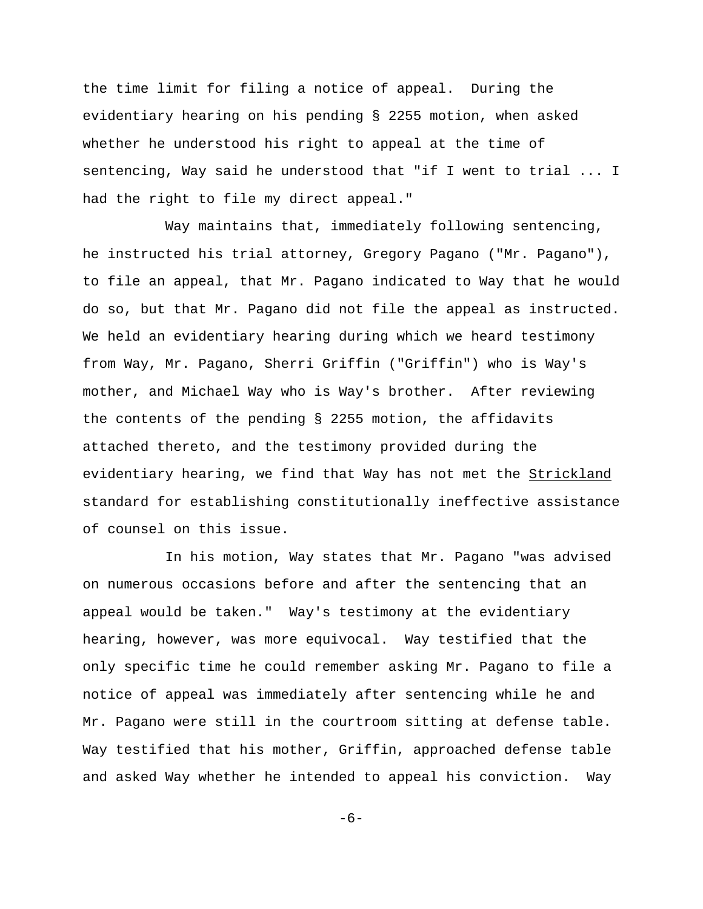the time limit for filing a notice of appeal. During the evidentiary hearing on his pending § 2255 motion, when asked whether he understood his right to appeal at the time of sentencing, Way said he understood that "if I went to trial ... I had the right to file my direct appeal."

Way maintains that, immediately following sentencing, he instructed his trial attorney, Gregory Pagano ("Mr. Pagano"), to file an appeal, that Mr. Pagano indicated to Way that he would do so, but that Mr. Pagano did not file the appeal as instructed. We held an evidentiary hearing during which we heard testimony from Way, Mr. Pagano, Sherri Griffin ("Griffin") who is Way's mother, and Michael Way who is Way's brother. After reviewing the contents of the pending § 2255 motion, the affidavits attached thereto, and the testimony provided during the evidentiary hearing, we find that Way has not met the Strickland standard for establishing constitutionally ineffective assistance of counsel on this issue.

In his motion, Way states that Mr. Pagano "was advised on numerous occasions before and after the sentencing that an appeal would be taken." Way's testimony at the evidentiary hearing, however, was more equivocal. Way testified that the only specific time he could remember asking Mr. Pagano to file a notice of appeal was immediately after sentencing while he and Mr. Pagano were still in the courtroom sitting at defense table. Way testified that his mother, Griffin, approached defense table and asked Way whether he intended to appeal his conviction. Way

-6-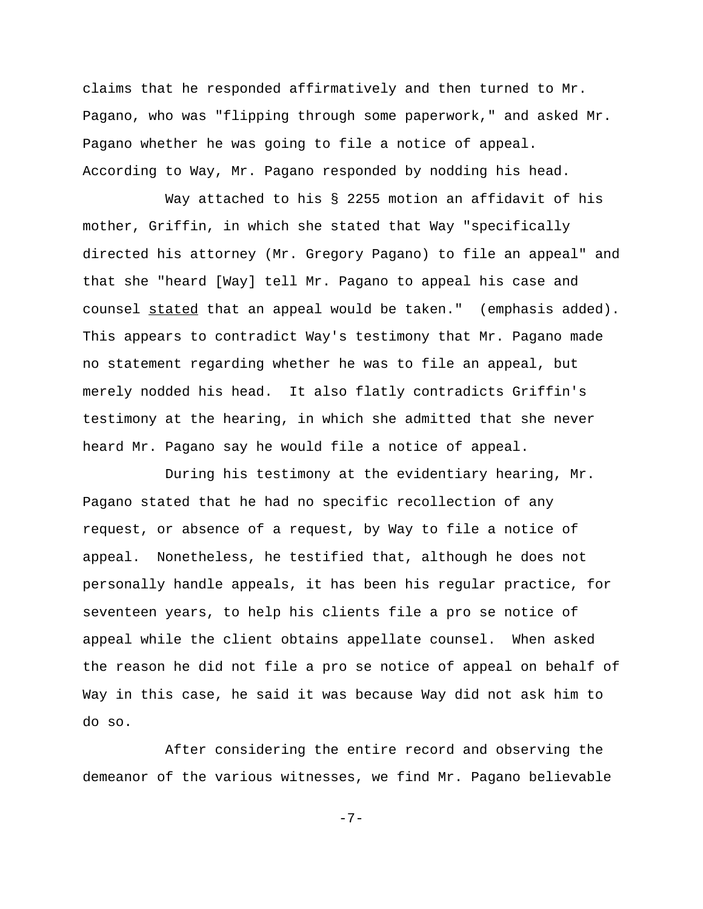claims that he responded affirmatively and then turned to Mr. Pagano, who was "flipping through some paperwork," and asked Mr. Pagano whether he was going to file a notice of appeal. According to Way, Mr. Pagano responded by nodding his head.

Way attached to his § 2255 motion an affidavit of his mother, Griffin, in which she stated that Way "specifically directed his attorney (Mr. Gregory Pagano) to file an appeal" and that she "heard [Way] tell Mr. Pagano to appeal his case and counsel stated that an appeal would be taken." (emphasis added). This appears to contradict Way's testimony that Mr. Pagano made no statement regarding whether he was to file an appeal, but merely nodded his head. It also flatly contradicts Griffin's testimony at the hearing, in which she admitted that she never heard Mr. Pagano say he would file a notice of appeal.

During his testimony at the evidentiary hearing, Mr. Pagano stated that he had no specific recollection of any request, or absence of a request, by Way to file a notice of appeal. Nonetheless, he testified that, although he does not personally handle appeals, it has been his regular practice, for seventeen years, to help his clients file a pro se notice of appeal while the client obtains appellate counsel. When asked the reason he did not file a pro se notice of appeal on behalf of Way in this case, he said it was because Way did not ask him to do so.

After considering the entire record and observing the demeanor of the various witnesses, we find Mr. Pagano believable

-7-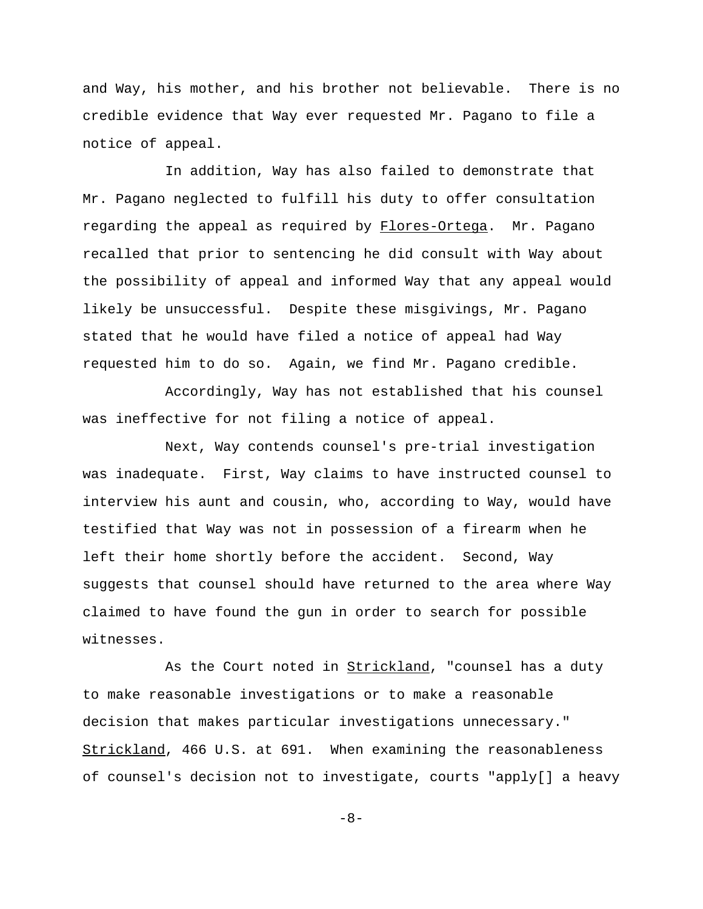and Way, his mother, and his brother not believable. There is no credible evidence that Way ever requested Mr. Pagano to file a notice of appeal.

In addition, Way has also failed to demonstrate that Mr. Pagano neglected to fulfill his duty to offer consultation regarding the appeal as required by Flores-Ortega. Mr. Pagano recalled that prior to sentencing he did consult with Way about the possibility of appeal and informed Way that any appeal would likely be unsuccessful. Despite these misgivings, Mr. Pagano stated that he would have filed a notice of appeal had Way requested him to do so. Again, we find Mr. Pagano credible.

Accordingly, Way has not established that his counsel was ineffective for not filing a notice of appeal.

Next, Way contends counsel's pre-trial investigation was inadequate. First, Way claims to have instructed counsel to interview his aunt and cousin, who, according to Way, would have testified that Way was not in possession of a firearm when he left their home shortly before the accident. Second, Way suggests that counsel should have returned to the area where Way claimed to have found the gun in order to search for possible witnesses.

As the Court noted in **Strickland**, "counsel has a duty to make reasonable investigations or to make a reasonable decision that makes particular investigations unnecessary." Strickland, 466 U.S. at 691. When examining the reasonableness of counsel's decision not to investigate, courts "apply[] a heavy

-8-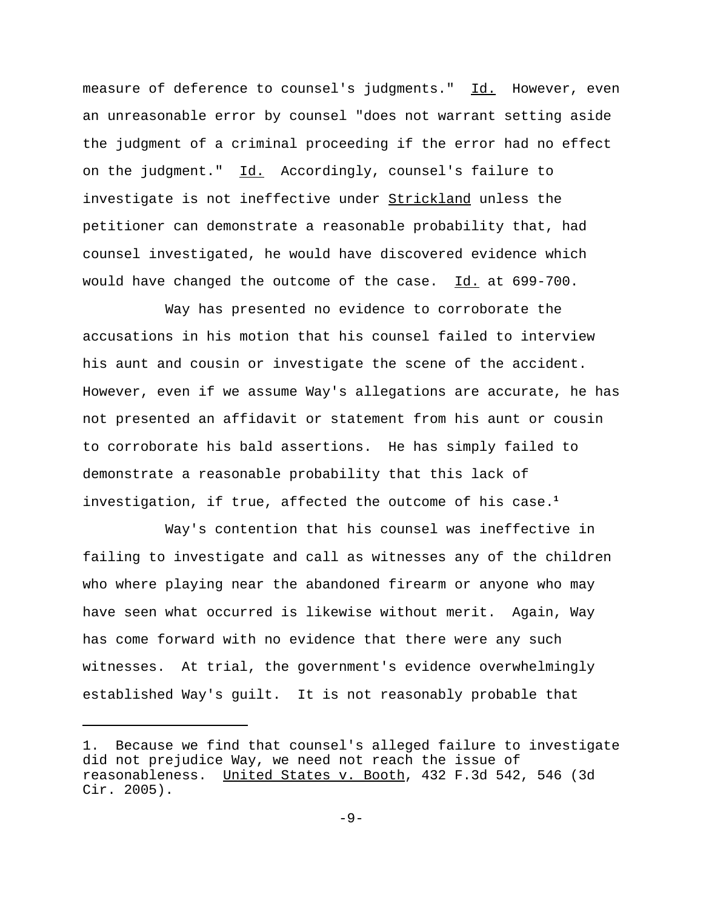measure of deference to counsel's judgments." Id. However, even an unreasonable error by counsel "does not warrant setting aside the judgment of a criminal proceeding if the error had no effect on the judgment." Id. Accordingly, counsel's failure to investigate is not ineffective under Strickland unless the petitioner can demonstrate a reasonable probability that, had counsel investigated, he would have discovered evidence which would have changed the outcome of the case. Id. at 699-700.

Way has presented no evidence to corroborate the accusations in his motion that his counsel failed to interview his aunt and cousin or investigate the scene of the accident. However, even if we assume Way's allegations are accurate, he has not presented an affidavit or statement from his aunt or cousin to corroborate his bald assertions. He has simply failed to demonstrate a reasonable probability that this lack of investigation, if true, affected the outcome of his case.**<sup>1</sup>**

Way's contention that his counsel was ineffective in failing to investigate and call as witnesses any of the children who where playing near the abandoned firearm or anyone who may have seen what occurred is likewise without merit. Again, Way has come forward with no evidence that there were any such witnesses. At trial, the government's evidence overwhelmingly established Way's guilt. It is not reasonably probable that

<sup>1.</sup> Because we find that counsel's alleged failure to investigate did not prejudice Way, we need not reach the issue of reasonableness. United States v. Booth, 432 F.3d 542, 546 (3d Cir. 2005).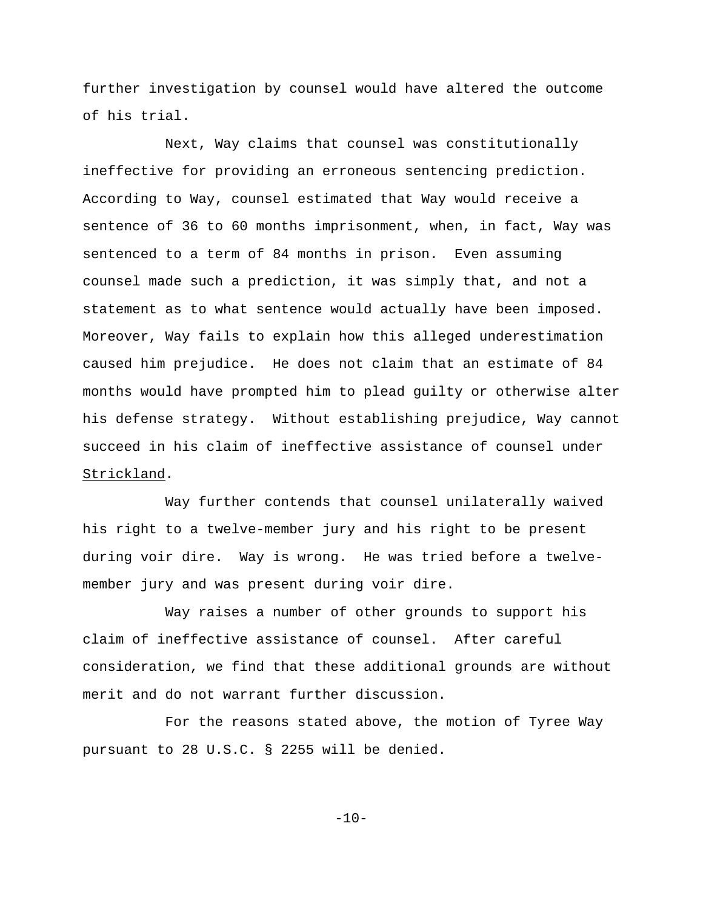further investigation by counsel would have altered the outcome of his trial.

Next, Way claims that counsel was constitutionally ineffective for providing an erroneous sentencing prediction. According to Way, counsel estimated that Way would receive a sentence of 36 to 60 months imprisonment, when, in fact, Way was sentenced to a term of 84 months in prison. Even assuming counsel made such a prediction, it was simply that, and not a statement as to what sentence would actually have been imposed. Moreover, Way fails to explain how this alleged underestimation caused him prejudice. He does not claim that an estimate of 84 months would have prompted him to plead guilty or otherwise alter his defense strategy. Without establishing prejudice, Way cannot succeed in his claim of ineffective assistance of counsel under Strickland.

Way further contends that counsel unilaterally waived his right to a twelve-member jury and his right to be present during voir dire. Way is wrong. He was tried before a twelvemember jury and was present during voir dire.

Way raises a number of other grounds to support his claim of ineffective assistance of counsel. After careful consideration, we find that these additional grounds are without merit and do not warrant further discussion.

For the reasons stated above, the motion of Tyree Way pursuant to 28 U.S.C. § 2255 will be denied.

 $-10-$